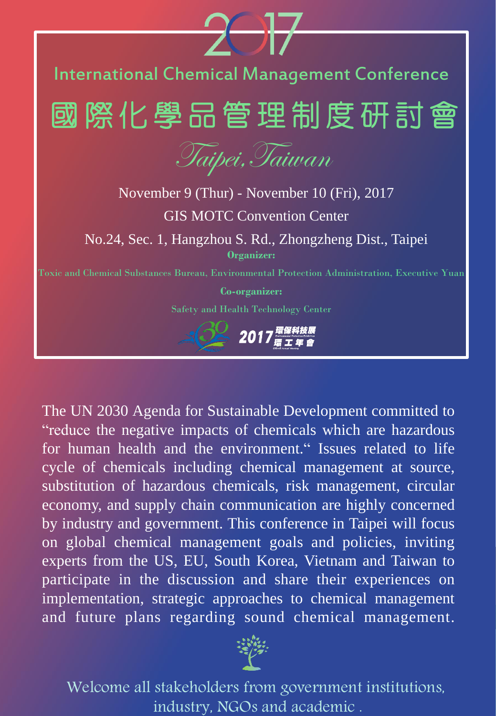

The UN 2030 Agenda for Sustainable Development committed to "reduce the negative impacts of chemicals which are hazardous for human health and the environment." Issues related to life cycle of chemicals including chemical management at source, substitution of hazardous chemicals, risk management, circular economy, and supply chain communication are highly concerned by industry and government. This conference in Taipei will focus on global chemical management goals and policies, inviting experts from the US, EU, South Korea, Vietnam and Taiwan to participate in the discussion and share their experiences on implementation, strategic approaches to chemical management and future plans regarding sound chemical management.



Welcome all stakeholders from government institutions, industry, NGOs and academic .